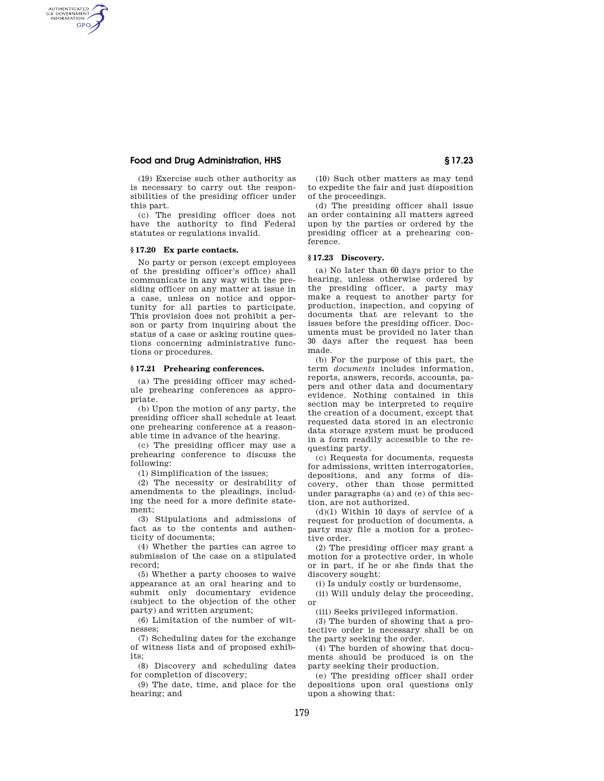# **Food and Drug Administration, HHS § 17.23**

(19) Exercise such other authority as is necessary to carry out the responsibilities of the presiding officer under this part.

(c) The presiding officer does not have the authority to find Federal statutes or regulations invalid.

### **§ 17.20 Ex parte contacts.**

AUTHENTICATED<br>U.S. GOVERNMENT<br>INFORMATION GPO

> No party or person (except employees of the presiding officer's office) shall communicate in any way with the presiding officer on any matter at issue in a case, unless on notice and opportunity for all parties to participate. This provision does not prohibit a person or party from inquiring about the status of a case or asking routine questions concerning administrative functions or procedures.

### **§ 17.21 Prehearing conferences.**

(a) The presiding officer may schedule prehearing conferences as appropriate.

(b) Upon the motion of any party, the presiding officer shall schedule at least one prehearing conference at a reasonable time in advance of the hearing.

(c) The presiding officer may use a prehearing conference to discuss the following:

(1) Simplification of the issues;

(2) The necessity or desirability of amendments to the pleadings, including the need for a more definite statement;

(3) Stipulations and admissions of fact as to the contents and authenticity of documents;

(4) Whether the parties can agree to submission of the case on a stipulated record;

(5) Whether a party chooses to waive appearance at an oral hearing and to submit only documentary evidence (subject to the objection of the other party) and written argument;

(6) Limitation of the number of witnesses;

(7) Scheduling dates for the exchange of witness lists and of proposed exhibits;

(8) Discovery and scheduling dates for completion of discovery;

(9) The date, time, and place for the hearing; and

(10) Such other matters as may tend to expedite the fair and just disposition of the proceedings.

(d) The presiding officer shall issue an order containing all matters agreed upon by the parties or ordered by the presiding officer at a prehearing conference.

# **§ 17.23 Discovery.**

(a) No later than 60 days prior to the hearing, unless otherwise ordered by the presiding officer, a party may make a request to another party for production, inspection, and copying of documents that are relevant to the issues before the presiding officer. Documents must be provided no later than 30 days after the request has been made.

(b) For the purpose of this part, the term *documents* includes information, reports, answers, records, accounts, papers and other data and documentary evidence. Nothing contained in this section may be interpreted to require the creation of a document, except that requested data stored in an electronic data storage system must be produced in a form readily accessible to the requesting party.

(c) Requests for documents, requests for admissions, written interrogatories, depositions, and any forms of discovery, other than those permitted under paragraphs (a) and (e) of this section, are not authorized.

 $(d)(1)$  Within 10 days of service of a request for production of documents, a party may file a motion for a protective order.

(2) The presiding officer may grant a motion for a protective order, in whole or in part, if he or she finds that the discovery sought:

(i) Is unduly costly or burdensome,

(ii) Will unduly delay the proceeding, or

(iii) Seeks privileged information.

(3) The burden of showing that a protective order is necessary shall be on the party seeking the order.

(4) The burden of showing that documents should be produced is on the party seeking their production.

(e) The presiding officer shall order depositions upon oral questions only upon a showing that: